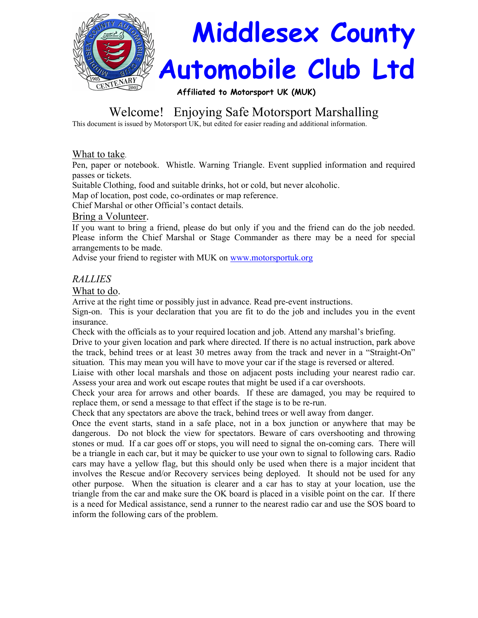

# Welcome! Enjoying Safe Motorsport Marshalling

This document is issued by Motorsport UK, but edited for easier reading and additional information.

### What to take.

Pen, paper or notebook. Whistle. Warning Triangle. Event supplied information and required passes or tickets.

Suitable Clothing, food and suitable drinks, hot or cold, but never alcoholic.

Map of location, post code, co-ordinates or map reference.

Chief Marshal or other Official's contact details.

### Bring a Volunteer.

If you want to bring a friend, please do but only if you and the friend can do the job needed. Please inform the Chief Marshal or Stage Commander as there may be a need for special arrangements to be made.

Advise your friend to register with MUK on www.motorsportuk.org

# RALLIES

### What to do.

Arrive at the right time or possibly just in advance. Read pre-event instructions.

Sign-on. This is your declaration that you are fit to do the job and includes you in the event insurance.

Check with the officials as to your required location and job. Attend any marshal's briefing.

Drive to your given location and park where directed. If there is no actual instruction, park above the track, behind trees or at least 30 metres away from the track and never in a "Straight-On" situation. This may mean you will have to move your car if the stage is reversed or altered.

Liaise with other local marshals and those on adjacent posts including your nearest radio car. Assess your area and work out escape routes that might be used if a car overshoots.

Check your area for arrows and other boards. If these are damaged, you may be required to replace them, or send a message to that effect if the stage is to be re-run.

Check that any spectators are above the track, behind trees or well away from danger.

Once the event starts, stand in a safe place, not in a box junction or anywhere that may be dangerous. Do not block the view for spectators. Beware of cars overshooting and throwing stones or mud. If a car goes off or stops, you will need to signal the on-coming cars. There will be a triangle in each car, but it may be quicker to use your own to signal to following cars. Radio cars may have a yellow flag, but this should only be used when there is a major incident that involves the Rescue and/or Recovery services being deployed. It should not be used for any other purpose. When the situation is clearer and a car has to stay at your location, use the triangle from the car and make sure the OK board is placed in a visible point on the car. If there is a need for Medical assistance, send a runner to the nearest radio car and use the SOS board to inform the following cars of the problem.